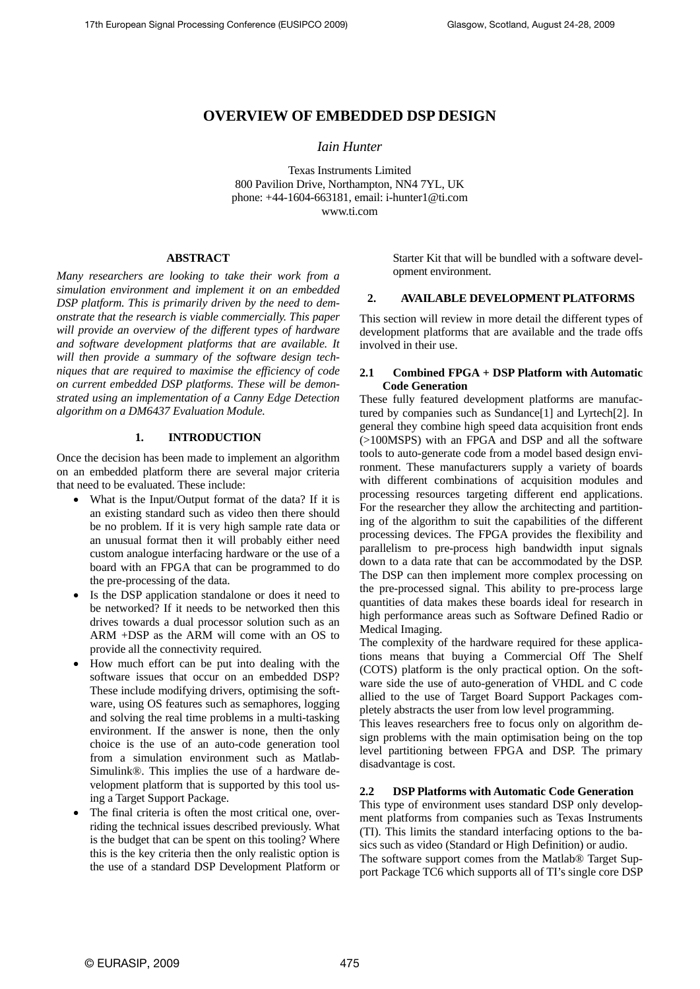# **OVERVIEW OF EMBEDDED DSP DESIGN**

## *Iain Hunter*

Texas Instruments Limited 800 Pavilion Drive, Northampton, NN4 7YL, UK phone: +44-1604-663181, email: i-hunter1@ti.com www.ti.com

### **ABSTRACT**

*Many researchers are looking to take their work from a simulation environment and implement it on an embedded DSP platform. This is primarily driven by the need to demonstrate that the research is viable commercially. This paper will provide an overview of the different types of hardware and software development platforms that are available. It will then provide a summary of the software design techniques that are required to maximise the efficiency of code on current embedded DSP platforms. These will be demonstrated using an implementation of a Canny Edge Detection algorithm on a DM6437 Evaluation Module.* 

#### **1. INTRODUCTION**

Once the decision has been made to implement an algorithm on an embedded platform there are several major criteria that need to be evaluated. These include:

- What is the Input/Output format of the data? If it is an existing standard such as video then there should be no problem. If it is very high sample rate data or an unusual format then it will probably either need custom analogue interfacing hardware or the use of a board with an FPGA that can be programmed to do the pre-processing of the data.
- Is the DSP application standalone or does it need to be networked? If it needs to be networked then this drives towards a dual processor solution such as an ARM +DSP as the ARM will come with an OS to provide all the connectivity required.
- How much effort can be put into dealing with the software issues that occur on an embedded DSP? These include modifying drivers, optimising the software, using OS features such as semaphores, logging and solving the real time problems in a multi-tasking environment. If the answer is none, then the only choice is the use of an auto-code generation tool from a simulation environment such as Matlab-Simulink®. This implies the use of a hardware development platform that is supported by this tool using a Target Support Package.
- The final criteria is often the most critical one, overriding the technical issues described previously. What is the budget that can be spent on this tooling? Where this is the key criteria then the only realistic option is the use of a standard DSP Development Platform or

Starter Kit that will be bundled with a software development environment.

## **2. AVAILABLE DEVELOPMENT PLATFORMS**

This section will review in more detail the different types of development platforms that are available and the trade offs involved in their use.

## **2.1 Combined FPGA + DSP Platform with Automatic Code Generation**

These fully featured development platforms are manufactured by companies such as Sundance[1] and Lyrtech[2]. In general they combine high speed data acquisition front ends (>100MSPS) with an FPGA and DSP and all the software tools to auto-generate code from a model based design environment. These manufacturers supply a variety of boards with different combinations of acquisition modules and processing resources targeting different end applications. For the researcher they allow the architecting and partitioning of the algorithm to suit the capabilities of the different processing devices. The FPGA provides the flexibility and parallelism to pre-process high bandwidth input signals down to a data rate that can be accommodated by the DSP. The DSP can then implement more complex processing on the pre-processed signal. This ability to pre-process large quantities of data makes these boards ideal for research in high performance areas such as Software Defined Radio or Medical Imaging.

The complexity of the hardware required for these applications means that buying a Commercial Off The Shelf (COTS) platform is the only practical option. On the software side the use of auto-generation of VHDL and C code allied to the use of Target Board Support Packages completely abstracts the user from low level programming.

This leaves researchers free to focus only on algorithm design problems with the main optimisation being on the top level partitioning between FPGA and DSP. The primary disadvantage is cost.

## **2.2 DSP Platforms with Automatic Code Generation**

This type of environment uses standard DSP only development platforms from companies such as Texas Instruments (TI). This limits the standard interfacing options to the basics such as video (Standard or High Definition) or audio. The software support comes from the Matlab® Target Sup-

port Package TC6 which supports all of TI's single core DSP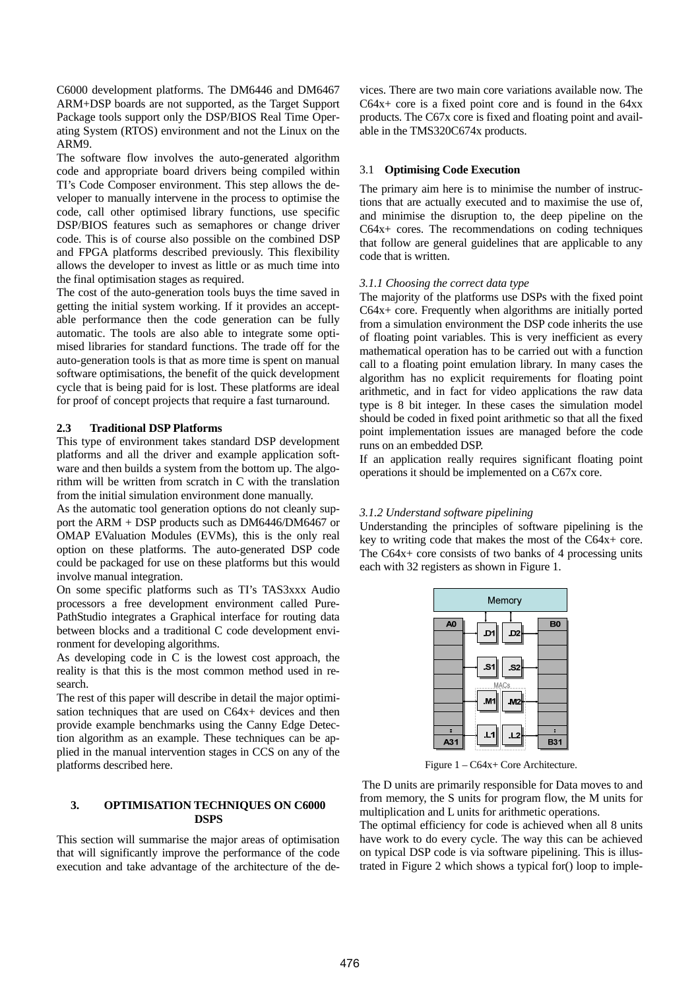C6000 development platforms. The DM6446 and DM6467 ARM+DSP boards are not supported, as the Target Support Package tools support only the DSP/BIOS Real Time Operating System (RTOS) environment and not the Linux on the ARM9.

The software flow involves the auto-generated algorithm code and appropriate board drivers being compiled within TI's Code Composer environment. This step allows the developer to manually intervene in the process to optimise the code, call other optimised library functions, use specific DSP/BIOS features such as semaphores or change driver code. This is of course also possible on the combined DSP and FPGA platforms described previously. This flexibility allows the developer to invest as little or as much time into the final optimisation stages as required.

The cost of the auto-generation tools buys the time saved in getting the initial system working. If it provides an acceptable performance then the code generation can be fully automatic. The tools are also able to integrate some optimised libraries for standard functions. The trade off for the auto-generation tools is that as more time is spent on manual software optimisations, the benefit of the quick development cycle that is being paid for is lost. These platforms are ideal for proof of concept projects that require a fast turnaround.

### **2.3 Traditional DSP Platforms**

This type of environment takes standard DSP development platforms and all the driver and example application software and then builds a system from the bottom up. The algorithm will be written from scratch in C with the translation from the initial simulation environment done manually.

As the automatic tool generation options do not cleanly support the ARM + DSP products such as DM6446/DM6467 or OMAP EValuation Modules (EVMs), this is the only real option on these platforms. The auto-generated DSP code could be packaged for use on these platforms but this would involve manual integration.

On some specific platforms such as TI's TAS3xxx Audio processors a free development environment called Pure-PathStudio integrates a Graphical interface for routing data between blocks and a traditional C code development environment for developing algorithms.

As developing code in C is the lowest cost approach, the reality is that this is the most common method used in research.

The rest of this paper will describe in detail the major optimisation techniques that are used on C64x+ devices and then provide example benchmarks using the Canny Edge Detection algorithm as an example. These techniques can be applied in the manual intervention stages in CCS on any of the platforms described here.

## **3. OPTIMISATION TECHNIQUES ON C6000 DSPS**

This section will summarise the major areas of optimisation that will significantly improve the performance of the code execution and take advantage of the architecture of the devices. There are two main core variations available now. The C64x+ core is a fixed point core and is found in the 64xx products. The C67x core is fixed and floating point and available in the TMS320C674x products.

### 3.1 **Optimising Code Execution**

The primary aim here is to minimise the number of instructions that are actually executed and to maximise the use of, and minimise the disruption to, the deep pipeline on the C64x+ cores. The recommendations on coding techniques that follow are general guidelines that are applicable to any code that is written.

### *3.1.1 Choosing the correct data type*

The majority of the platforms use DSPs with the fixed point C64x+ core. Frequently when algorithms are initially ported from a simulation environment the DSP code inherits the use of floating point variables. This is very inefficient as every mathematical operation has to be carried out with a function call to a floating point emulation library. In many cases the algorithm has no explicit requirements for floating point arithmetic, and in fact for video applications the raw data type is 8 bit integer. In these cases the simulation model should be coded in fixed point arithmetic so that all the fixed point implementation issues are managed before the code runs on an embedded DSP.

If an application really requires significant floating point operations it should be implemented on a C67x core.

#### *3.1.2 Understand software pipelining*

Understanding the principles of software pipelining is the key to writing code that makes the most of the C64x+ core. The C64x+ core consists of two banks of 4 processing units each with 32 registers as shown in Figure 1.



Figure 1 – C64x+ Core Architecture.

 The D units are primarily responsible for Data moves to and from memory, the S units for program flow, the M units for multiplication and L units for arithmetic operations.

The optimal efficiency for code is achieved when all 8 units have work to do every cycle. The way this can be achieved on typical DSP code is via software pipelining. This is illustrated in Figure 2 which shows a typical for() loop to imple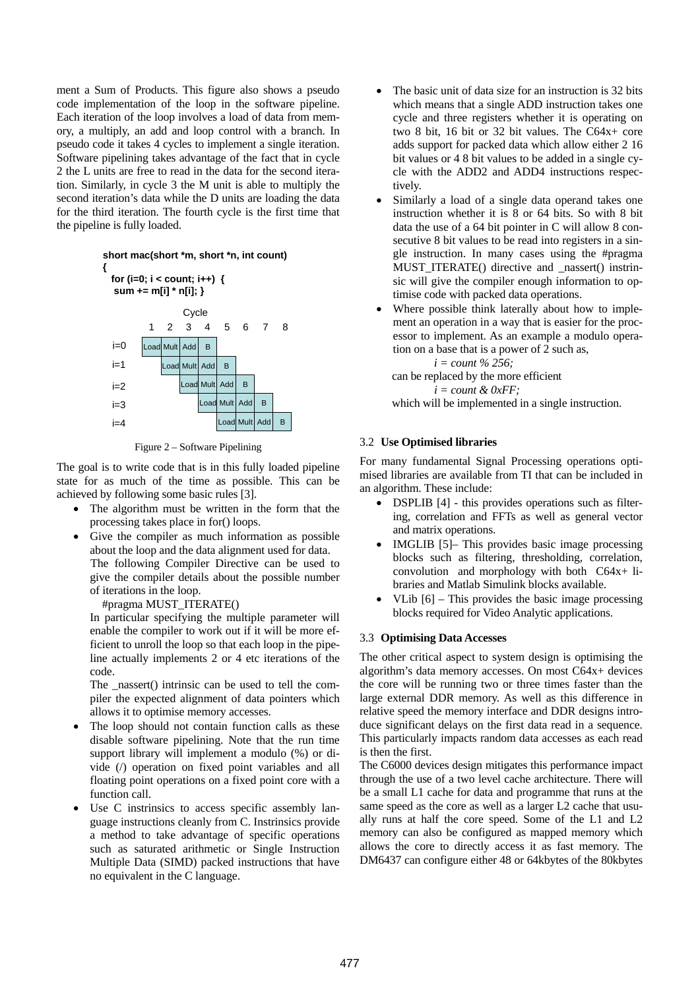ment a Sum of Products. This figure also shows a pseudo code implementation of the loop in the software pipeline. Each iteration of the loop involves a load of data from memory, a multiply, an add and loop control with a branch. In pseudo code it takes 4 cycles to implement a single iteration. Software pipelining takes advantage of the fact that in cycle 2 the L units are free to read in the data for the second iteration. Similarly, in cycle 3 the M unit is able to multiply the second iteration's data while the D units are loading the data for the third iteration. The fourth cycle is the first time that the pipeline is fully loaded.

## Load Mult Add B **short mac(short \*m, short \*n, int count) { for (i=0; i < count; i++) { sum += m[i] \* n[i]; }**  $i=0$ **C**vcle 1 2 3 4 5 6 7 8



Figure 2 – Software Pipelining

The goal is to write code that is in this fully loaded pipeline state for as much of the time as possible. This can be achieved by following some basic rules [3].

- The algorithm must be written in the form that the processing takes place in for() loops.
- Give the compiler as much information as possible about the loop and the data alignment used for data. The following Compiler Directive can be used to give the compiler details about the possible number of iterations in the loop.

#pragma MUST\_ITERATE()

In particular specifying the multiple parameter will enable the compiler to work out if it will be more efficient to unroll the loop so that each loop in the pipeline actually implements 2 or 4 etc iterations of the code.

The \_nassert() intrinsic can be used to tell the compiler the expected alignment of data pointers which allows it to optimise memory accesses.

- The loop should not contain function calls as these disable software pipelining. Note that the run time support library will implement a modulo (%) or divide (/) operation on fixed point variables and all floating point operations on a fixed point core with a function call.
- Use C instrinsics to access specific assembly language instructions cleanly from C. Instrinsics provide a method to take advantage of specific operations such as saturated arithmetic or Single Instruction Multiple Data (SIMD) packed instructions that have no equivalent in the C language.
- The basic unit of data size for an instruction is 32 bits which means that a single ADD instruction takes one cycle and three registers whether it is operating on two 8 bit, 16 bit or 32 bit values. The C64x+ core adds support for packed data which allow either 2 16 bit values or 4 8 bit values to be added in a single cycle with the ADD2 and ADD4 instructions respectively.
- Similarly a load of a single data operand takes one instruction whether it is 8 or 64 bits. So with 8 bit data the use of a 64 bit pointer in C will allow 8 consecutive 8 bit values to be read into registers in a single instruction. In many cases using the #pragma MUST ITERATE() directive and \_nassert() instrinsic will give the compiler enough information to optimise code with packed data operations.
- Where possible think laterally about how to implement an operation in a way that is easier for the processor to implement. As an example a modulo operation on a base that is a power of 2 such as,

*i = count % 256;* 

can be replaced by the more efficient

*i = count & 0xFF;* 

which will be implemented in a single instruction.

# 3.2 **Use Optimised libraries**

For many fundamental Signal Processing operations optimised libraries are available from TI that can be included in an algorithm. These include:

- DSPLIB [4] this provides operations such as filtering, correlation and FFTs as well as general vector and matrix operations.
- IMGLIB [5]– This provides basic image processing blocks such as filtering, thresholding, correlation, convolution and morphology with both C64x+ libraries and Matlab Simulink blocks available.
- VLib  $[6]$  This provides the basic image processing blocks required for Video Analytic applications.

# 3.3 **Optimising Data Accesses**

The other critical aspect to system design is optimising the algorithm's data memory accesses. On most C64x+ devices the core will be running two or three times faster than the large external DDR memory. As well as this difference in relative speed the memory interface and DDR designs introduce significant delays on the first data read in a sequence. This particularly impacts random data accesses as each read is then the first.

The C6000 devices design mitigates this performance impact through the use of a two level cache architecture. There will be a small L1 cache for data and programme that runs at the same speed as the core as well as a larger L2 cache that usually runs at half the core speed. Some of the L1 and L2 memory can also be configured as mapped memory which allows the core to directly access it as fast memory. The DM6437 can configure either 48 or 64kbytes of the 80kbytes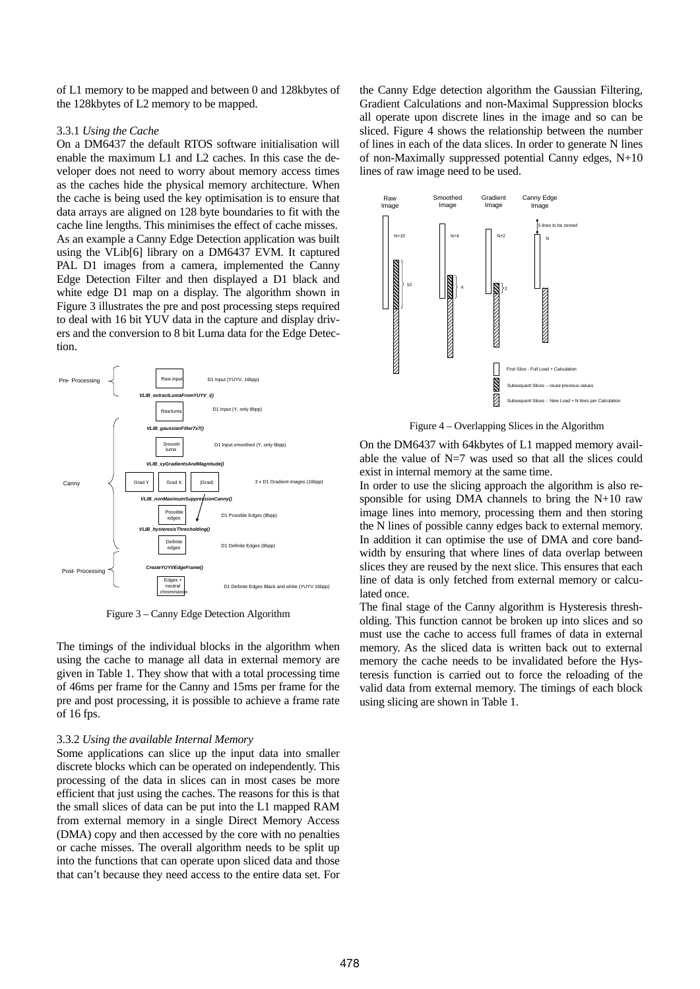of L1 memory to be mapped and between 0 and 128kbytes of the 128kbytes of L2 memory to be mapped.

#### 3.3.1 *Using the Cache*

On a DM6437 the default RTOS software initialisation will enable the maximum L1 and L2 caches. In this case the developer does not need to worry about memory access times as the caches hide the physical memory architecture. When the cache is being used the key optimisation is to ensure that data arrays are aligned on 128 byte boundaries to fit with the cache line lengths. This minimises the effect of cache misses. As an example a Canny Edge Detection application was built using the VLib[6] library on a DM6437 EVM. It captured PAL D1 images from a camera, implemented the Canny Edge Detection Filter and then displayed a D1 black and white edge D1 map on a display. The algorithm shown in Figure 3 illustrates the pre and post processing steps required to deal with 16 bit YUV data in the capture and display drivers and the conversion to 8 bit Luma data for the Edge Detection.



Figure 3 – Canny Edge Detection Algorithm

The timings of the individual blocks in the algorithm when using the cache to manage all data in external memory are given in Table 1. They show that with a total processing time of 46ms per frame for the Canny and 15ms per frame for the pre and post processing, it is possible to achieve a frame rate of 16 fps.

#### 3.3.2 *Using the available Internal Memory*

Some applications can slice up the input data into smaller discrete blocks which can be operated on independently. This processing of the data in slices can in most cases be more efficient that just using the caches. The reasons for this is that the small slices of data can be put into the L1 mapped RAM from external memory in a single Direct Memory Access (DMA) copy and then accessed by the core with no penalties or cache misses. The overall algorithm needs to be split up into the functions that can operate upon sliced data and those that can't because they need access to the entire data set. For

the Canny Edge detection algorithm the Gaussian Filtering, Gradient Calculations and non-Maximal Suppression blocks all operate upon discrete lines in the image and so can be sliced. Figure 4 shows the relationship between the number of lines in each of the data slices. In order to generate N lines of non-Maximally suppressed potential Canny edges, N+10 lines of raw image need to be used.



Figure 4 – Overlapping Slices in the Algorithm

On the DM6437 with 64kbytes of L1 mapped memory available the value of N=7 was used so that all the slices could exist in internal memory at the same time.

In order to use the slicing approach the algorithm is also responsible for using DMA channels to bring the N+10 raw image lines into memory, processing them and then storing the N lines of possible canny edges back to external memory. In addition it can optimise the use of DMA and core bandwidth by ensuring that where lines of data overlap between slices they are reused by the next slice. This ensures that each line of data is only fetched from external memory or calculated once.

The final stage of the Canny algorithm is Hysteresis thresholding. This function cannot be broken up into slices and so must use the cache to access full frames of data in external memory. As the sliced data is written back out to external memory the cache needs to be invalidated before the Hysteresis function is carried out to force the reloading of the valid data from external memory. The timings of each block using slicing are shown in Table 1.